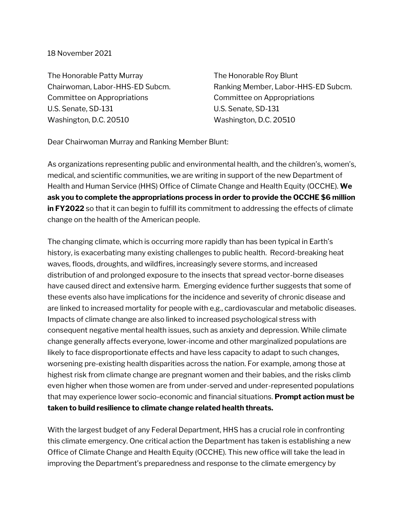## 18 November 2021

The Honorable Patty Murray Chairwoman, Labor-HHS-ED Subcm. Committee on Appropriations U.S. Senate, SD-131 Washington, D.C. 20510

The Honorable Roy Blunt Ranking Member, Labor-HHS-ED Subcm. Committee on Appropriations U.S. Senate, SD-131 Washington, D.C. 20510

Dear Chairwoman Murray and Ranking Member Blunt:

As organizations representing public and environmental health, and the children's, women's, medical, and scientific communities, we are writing in support of the new Department of Health and Human Service (HHS) Office of Climate Change and Health Equity (OCCHE). **We ask you to complete the appropriations process in order to provide the OCCHE \$6 million in FY2022** so that it can begin to fulfill its commitment to addressing the effects of climate change on the health of the American people.

The changing climate, which is occurring more rapidly than has been typical in Earth's history, is exacerbating many existing challenges to public health. Record-breaking heat waves, floods, droughts, and wildfires, increasingly severe storms, and increased distribution of and prolonged exposure to the insects that spread vector-borne diseases have caused direct and extensive harm. Emerging evidence further suggests that some of these events also have implications for the incidence and severity of chronic disease and are linked to increased mortality for people with e.g., cardiovascular and metabolic diseases. Impacts of climate change are also linked to increased psychological stress with consequent negative mental health issues, such as anxiety and depression. While climate change generally affects everyone, lower-income and other marginalized populations are likely to face disproportionate effects and have less capacity to adapt to such changes, worsening pre-existing health disparities across the nation. For example, among those at highest risk from climate change are pregnant women and their babies, and the risks climb even higher when those women are from under-served and under-represented populations that may experience lower socio-economic and financial situations. **Prompt action must be taken to build resilience to climate change related health threats.**

With the largest budget of any Federal Department, HHS has a crucial role in confronting this climate emergency. One critical action the Department has taken is establishing a new Office of Climate Change and Health Equity (OCCHE). This new office will take the lead in improving the Department's preparedness and response to the climate emergency by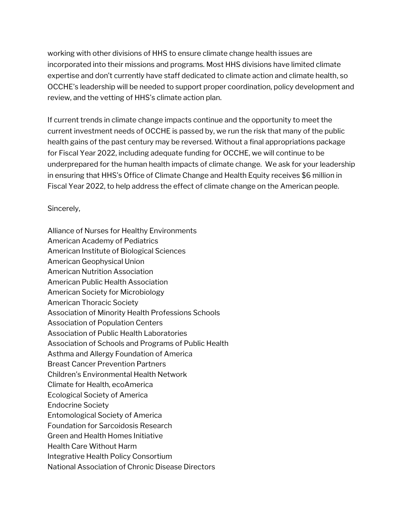working with other divisions of HHS to ensure climate change health issues are incorporated into their missions and programs. Most HHS divisions have limited climate expertise and don't currently have staff dedicated to climate action and climate health, so OCCHE's leadership will be needed to support proper coordination, policy development and review, and the vetting of HHS's climate action plan.

If current trends in climate change impacts continue and the opportunity to meet the current investment needs of OCCHE is passed by, we run the risk that many of the public health gains of the past century may be reversed. Without a final appropriations package for Fiscal Year 2022, including adequate funding for OCCHE, we will continue to be underprepared for the human health impacts of climate change. We ask for your leadership in ensuring that HHS's Office of Climate Change and Health Equity receives \$6 million in Fiscal Year 2022, to help address the effect of climate change on the American people.

Sincerely,

Alliance of Nurses for Healthy Environments American Academy of Pediatrics American Institute of Biological Sciences American Geophysical Union American Nutrition Association American Public Health Association American Society for Microbiology American Thoracic Society Association of Minority Health Professions Schools Association of Population Centers Association of Public Health Laboratories Association of Schools and Programs of Public Health Asthma and Allergy Foundation of America Breast Cancer Prevention Partners Children's Environmental Health Network Climate for Health, ecoAmerica Ecological Society of America Endocrine Society Entomological Society of America Foundation for Sarcoidosis Research Green and Health Homes Initiative Health Care Without Harm Integrative Health Policy Consortium National Association of Chronic Disease Directors